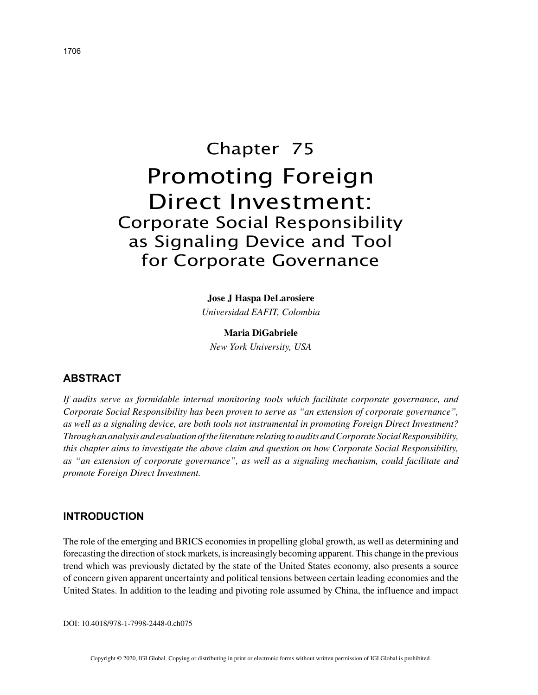# Chapter 75 Promoting Foreign Direct Investment: Corporate Social Responsibility as Signaling Device and Tool for Corporate Governance

## **Jose J Haspa DeLarosiere**

*Universidad EAFIT, Colombia*

**Maria DiGabriele** *New York University, USA*

# **ABSTRACT**

*If audits serve as formidable internal monitoring tools which facilitate corporate governance, and Corporate Social Responsibility has been proven to serve as "an extension of corporate governance", as well as a signaling device, are both tools not instrumental in promoting Foreign Direct Investment? Through an analysis and evaluation of the literature relating to audits and Corporate Social Responsibility, this chapter aims to investigate the above claim and question on how Corporate Social Responsibility, as "an extension of corporate governance", as well as a signaling mechanism, could facilitate and promote Foreign Direct Investment.*

# **INTRODUCTION**

The role of the emerging and BRICS economies in propelling global growth, as well as determining and forecasting the direction of stock markets, is increasingly becoming apparent. This change in the previous trend which was previously dictated by the state of the United States economy, also presents a source of concern given apparent uncertainty and political tensions between certain leading economies and the United States. In addition to the leading and pivoting role assumed by China, the influence and impact

DOI: 10.4018/978-1-7998-2448-0.ch075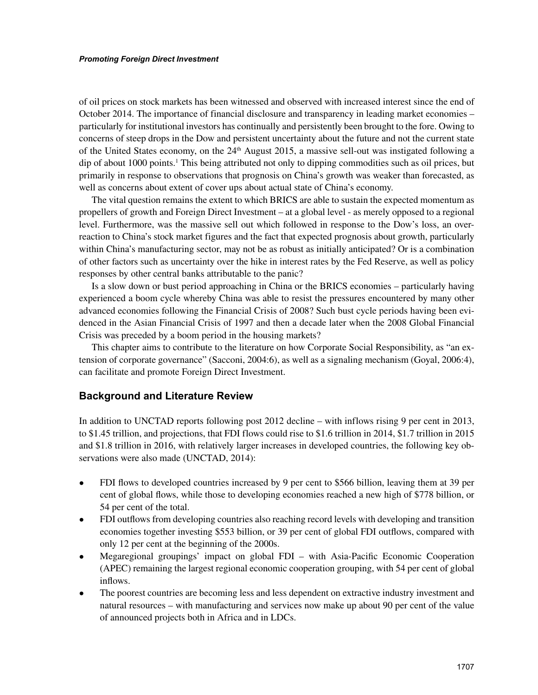of oil prices on stock markets has been witnessed and observed with increased interest since the end of October 2014. The importance of financial disclosure and transparency in leading market economies – particularly for institutional investors has continually and persistently been brought to the fore. Owing to concerns of steep drops in the Dow and persistent uncertainty about the future and not the current state of the United States economy, on the  $24<sup>th</sup>$  August 2015, a massive sell-out was instigated following a dip of about 1000 points.<sup>1</sup> This being attributed not only to dipping commodities such as oil prices, but primarily in response to observations that prognosis on China's growth was weaker than forecasted, as well as concerns about extent of cover ups about actual state of China's economy.

The vital question remains the extent to which BRICS are able to sustain the expected momentum as propellers of growth and Foreign Direct Investment – at a global level - as merely opposed to a regional level. Furthermore, was the massive sell out which followed in response to the Dow's loss, an overreaction to China's stock market figures and the fact that expected prognosis about growth, particularly within China's manufacturing sector, may not be as robust as initially anticipated? Or is a combination of other factors such as uncertainty over the hike in interest rates by the Fed Reserve, as well as policy responses by other central banks attributable to the panic?

Is a slow down or bust period approaching in China or the BRICS economies – particularly having experienced a boom cycle whereby China was able to resist the pressures encountered by many other advanced economies following the Financial Crisis of 2008? Such bust cycle periods having been evidenced in the Asian Financial Crisis of 1997 and then a decade later when the 2008 Global Financial Crisis was preceded by a boom period in the housing markets?

This chapter aims to contribute to the literature on how Corporate Social Responsibility, as "an extension of corporate governance" (Sacconi, 2004:6), as well as a signaling mechanism (Goyal, 2006:4), can facilitate and promote Foreign Direct Investment.

## **Background and Literature Review**

In addition to UNCTAD reports following post 2012 decline – with inflows rising 9 per cent in 2013, to \$1.45 trillion, and projections, that FDI flows could rise to \$1.6 trillion in 2014, \$1.7 trillion in 2015 and \$1.8 trillion in 2016, with relatively larger increases in developed countries, the following key observations were also made (UNCTAD, 2014):

- FDI flows to developed countries increased by 9 per cent to \$566 billion, leaving them at 39 per cent of global flows, while those to developing economies reached a new high of \$778 billion, or 54 per cent of the total.
- FDI outflows from developing countries also reaching record levels with developing and transition economies together investing \$553 billion, or 39 per cent of global FDI outflows, compared with only 12 per cent at the beginning of the 2000s.
- Megaregional groupings' impact on global FDI with Asia-Pacific Economic Cooperation (APEC) remaining the largest regional economic cooperation grouping, with 54 per cent of global inflows.
- The poorest countries are becoming less and less dependent on extractive industry investment and natural resources – with manufacturing and services now make up about 90 per cent of the value of announced projects both in Africa and in LDCs.